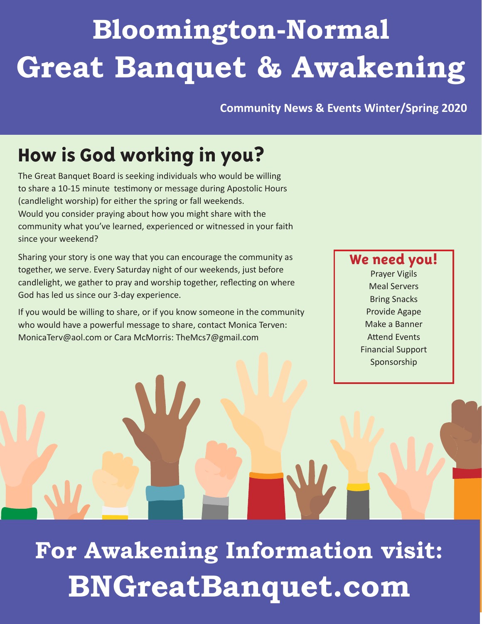# **Bloomington-Normal Great Banquet & Awakening**

**Community News & Events Winter/Spring 2020**

## **How is God working in you?**

The Great Banquet Board is seeking individuals who would be willing to share a 10-15 minute testimony or message during Apostolic Hours (candlelight worship) for either the spring or fall weekends. Would you consider praying about how you might share with the community what you've learned, experienced or witnessed in your faith since your weekend?

Sharing your story is one way that you can encourage the community as together, we serve. Every Saturday night of our weekends, just before candlelight, we gather to pray and worship together, reflecting on where God has led us since our 3-day experience.

If you would be willing to share, or if you know someone in the community who would have a powerful message to share, contact Monica Terven: MonicaTerv@aol.com or Cara McMorris: TheMcs7@gmail.com

### **We need you!**

Prayer Vigils Meal Servers Bring Snacks Provide Agape Make a Banner Attend Events Financial Support Sponsorship

**For Awakening Information visit: BNGreatBanquet.com**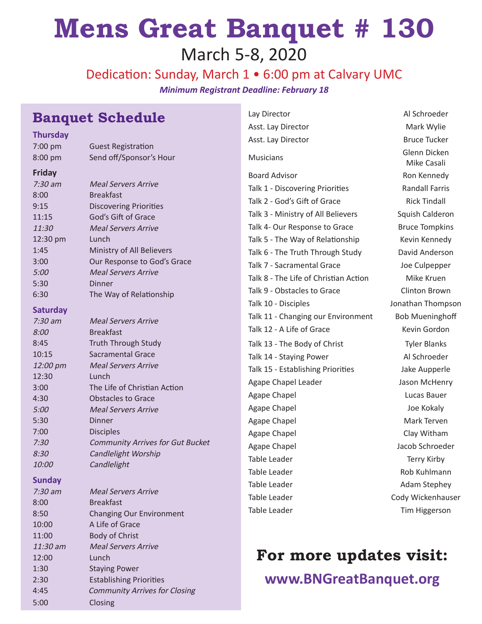## **Mens Great Banquet # 130** March 5-8, 2020

Dedication: Sunday, March 1 • 6:00 pm at Calvary UMC *Minimum Registrant Deadline: February 18*

## **Banquet Schedule**

**Thursday**

| 7:00 pm         | <b>Guest Registration</b>               |
|-----------------|-----------------------------------------|
| 8:00 pm         | Send off/Sponsor's Hour                 |
| <b>Friday</b>   |                                         |
| $7:30$ am       | <b>Meal Servers Arrive</b>              |
| 8:00            | <b>Breakfast</b>                        |
| 9:15            | <b>Discovering Priorities</b>           |
| 11:15           | God's Gift of Grace                     |
| 11:30           | <b>Meal Servers Arrive</b>              |
| 12:30 pm        | Lunch                                   |
| 1:45            | Ministry of All Believers               |
| 3:00            | Our Response to God's Grace             |
| 5:00            | <b>Meal Servers Arrive</b>              |
| 5:30            | Dinner                                  |
| 6:30            | The Way of Relationship                 |
| <b>Saturday</b> |                                         |
| $7:30$ am       | <b>Meal Servers Arrive</b>              |
| <i>8:00</i>     | <b>Breakfast</b>                        |
| 8:45            | <b>Truth Through Study</b>              |
| 10:15           | <b>Sacramental Grace</b>                |
| 12:00 pm        | <b>Meal Servers Arrive</b>              |
| 12:30           | Lunch                                   |
| 3:00            | The Life of Christian Action            |
| 4:30            | <b>Obstacles to Grace</b>               |
| 5:00            | <b>Meal Servers Arrive</b>              |
| 5:30            | Dinner                                  |
| 7:00            | <b>Disciples</b>                        |
| 7:30            | <b>Community Arrives for Gut Bucket</b> |
| 8:30            | Candlelight Worship                     |
| <i>10:00</i>    | Candlelight                             |

#### **Sunday**

| $7:30$ am  | <b>Meal Servers Arrive</b>           |
|------------|--------------------------------------|
| 8:00       | <b>Breakfast</b>                     |
| 8:50       | <b>Changing Our Environment</b>      |
| 10:00      | A Life of Grace                      |
| 11:00      | <b>Body of Christ</b>                |
| $11:30$ am | <b>Meal Servers Arrive</b>           |
| 12:00      | Lunch                                |
| 1:30       | <b>Staying Power</b>                 |
| 2:30       | <b>Establishing Priorities</b>       |
| 4:45       | <b>Community Arrives for Closing</b> |
| 5:00       | Closing                              |
|            |                                      |

Lay Director **Al Schroeder** Asst. Lay Director **Mark Wylie** Asst. Lay Director **Bruce Tucker** Musicians Glenn Dicken Board Advisor **Ron Kennedy** Talk 1 - Discovering Priorities **Randall Farris** Talk 2 - God's Gift of Grace Rick Tindall Talk 3 - Ministry of All Believers Squish Calderon Talk 4- Our Response to Grace Bruce Tompkins Talk 5 - The Way of Relationship Kevin Kennedy Talk 6 - The Truth Through Study David Anderson Talk 7 - Sacramental Grace Joe Culpepper Talk 8 - The Life of Christian Action Mike Kruen Talk 9 - Obstacles to Grace Clinton Brown Talk 10 - Disciples **Jonathan Thompson** Talk 11 - Changing our Environment Bob Mueninghoff Talk 12 - A Life of Grace Kevin Gordon Talk 13 - The Body of Christ Tyler Blanks Talk 14 - Staying Power Al Schroeder Talk 15 - Establishing Priorities Jake Aupperle Agape Chapel Leader **Jason McHenry** Agape Chapel Lucas Bauer Agape Chapel **Agape Chapel** Agape Chapel **Joe Kokaly** Agape Chapel **Mark Terven** Agape Chapel **Clay Witham** Agape Chapel **Agape Chapel** Jacob Schroeder Table Leader Table Leader Terry Kirby Table Leader **Rob Kuhlmann** Table Leader **Adam Stephey** Table Leader **Cody Wickenhauser** Cody Wickenhauser

Mike Casali Table Leader Tim Higgerson

## **For more updates visit:**

**www.BNGreatBanquet.org**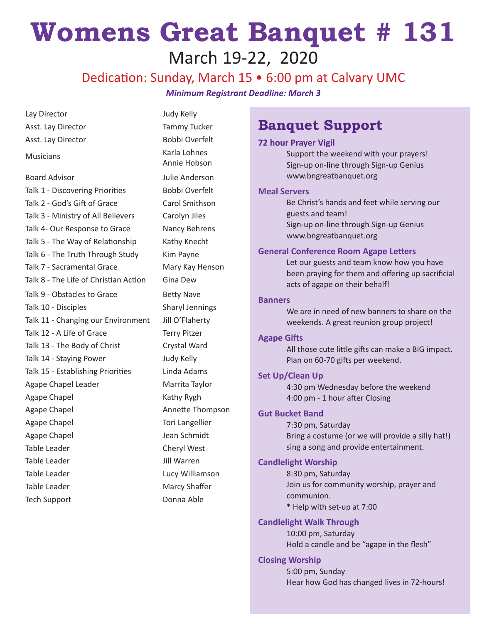## **Womens Great Banquet # 131** March 19-22, 2020

### Dedication: Sunday, March 15 • 6:00 pm at Calvary UMC

*Minimum Registrant Deadline: March 3*

| Lay Director                          | Judy Kelly                   |
|---------------------------------------|------------------------------|
| Asst. Lay Director                    | <b>Tammy Tucker</b>          |
| Asst. Lay Director                    | <b>Bobbi Overfelt</b>        |
| <b>Musicians</b>                      | Karla Lohnes<br>Annie Hobson |
| <b>Board Advisor</b>                  | Julie Anderson               |
| Talk 1 - Discovering Priorities       | Bobbi Overfelt               |
| Talk 2 - God's Gift of Grace          | Carol Smithson               |
| Talk 3 - Ministry of All Believers    | Carolyn Jiles                |
| Talk 4- Our Response to Grace         | Nancy Behrens                |
| Talk 5 - The Way of Relationship      | Kathy Knecht                 |
| Talk 6 - The Truth Through Study      | Kim Payne                    |
| Talk 7 - Sacramental Grace            | Mary Kay Henson              |
| Talk 8 - The Life of Christian Action | Gina Dew                     |
| Talk 9 - Obstacles to Grace           | <b>Betty Nave</b>            |
| Talk 10 - Disciples                   | <b>Sharyl Jennings</b>       |
| Talk 11 - Changing our Environment    | Jill O'Flaherty              |
| Talk 12 - A Life of Grace             | <b>Terry Pitzer</b>          |
| Talk 13 - The Body of Christ          | Crystal Ward                 |
| Talk 14 - Staying Power               | Judy Kelly                   |
| Talk 15 - Establishing Priorities     | Linda Adams                  |
| Agape Chapel Leader                   | Marrita Taylor               |
| Agape Chapel                          | Kathy Rygh                   |
| Agape Chapel                          | Annette Thompson             |
| Agape Chapel                          | <b>Tori Langellier</b>       |
| Agape Chapel                          | Jean Schmidt                 |
| Table Leader                          | Cheryl West                  |
| Table Leader                          | Jill Warren                  |
| Table Leader                          | Lucy Williamson              |
| Table Leader                          | Marcy Shaffer                |
| <b>Tech Support</b>                   | Donna Able                   |
|                                       |                              |

## **Banquet Support**

#### **72 hour Prayer Vigil**

Support the weekend with your prayers! Sign-up on-line through Sign-up Genius www.bngreatbanquet.org

#### **Meal Servers**

Be Christ's hands and feet while serving our guests and team! Sign-up on-line through Sign-up Genius www.bngreatbanquet.org

#### **General Conference Room Agape Letters**

Let our guests and team know how you have been praying for them and offering up sacrificial acts of agape on their behalf!

#### **Banners**

We are in need of new banners to share on the weekends. A great reunion group project!

#### **Agape Gifts**

All those cute little gifts can make a BIG impact. Plan on 60-70 gifts per weekend.

#### **Set Up/Clean Up**

4:30 pm Wednesday before the weekend 4:00 pm - 1 hour after Closing

#### **Gut Bucket Band**

7:30 pm, Saturday Bring a costume (or we will provide a silly hat!) sing a song and provide entertainment.

#### **Candlelight Worship**

8:30 pm, Saturday Join us for community worship, prayer and communion. \* Help with set-up at 7:00

#### **Candlelight Walk Through**

10:00 pm, Saturday Hold a candle and be "agape in the flesh"

#### **Closing Worship**

5:00 pm, Sunday Hear how God has changed lives in 72-hours!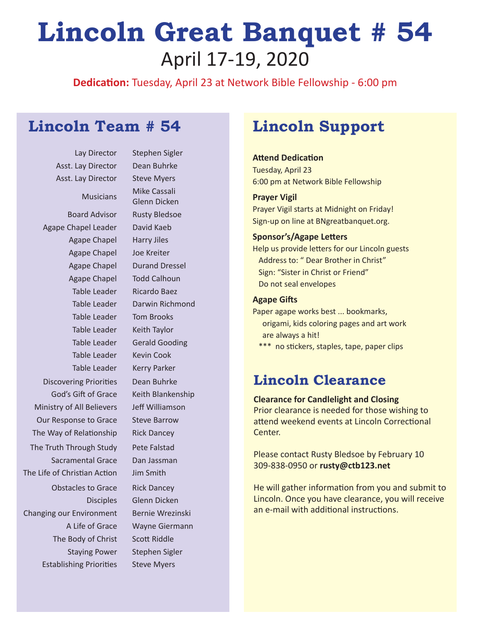## **Lincoln Great Banquet # 54** April 17-19, 2020

**Dedication:** Tuesday, April 23 at Network Bible Fellowship - 6:00 pm

## **Lincoln Team # 54 Lincoln Support**

Asst. Lay Director Dean Buhrke Asst. Lay Director Steve Myers

Board Advisor Rusty Bledsoe Agape Chapel Leader David Kaeb Agape Chapel Harry Jiles Agape Chapel Joe Kreiter Agape Chapel Todd Calhoun Table Leader Ricardo Baez Table Leader Tom Brooks Table Leader Keith Taylor Table Leader Kevin Cook Table Leader Kerry Parker Discovering Priorities Dean Buhrke God's Gift of Grace Keith Blankenship Ministry of All Believers Jeff Williamson Our Response to Grace Steve Barrow The Way of Relationship Rick Dancey The Truth Through Study Pete Falstad Sacramental Grace Dan Jassman The Life of Christian Action Jim Smith Obstacles to Grace Rick Dancey Changing our Environment Bernie Wrezinski The Body of Christ Scott Riddle Staying Power Stephen Sigler Establishing Priorities Steve Myers

Lay Director Stephen Sigler Musicians Mike Cassali Glenn Dicken Agape Chapel Durand Dressel Table Leader Darwin Richmond Table Leader Gerald Gooding Disciples Glenn Dicken A Life of Grace Wayne Giermann

### **Attend Dedication**

Tuesday, April 23 6:00 pm at Network Bible Fellowship

#### **Prayer Vigil**

Prayer Vigil starts at Midnight on Friday! Sign-up on line at BNgreatbanquet.org.

#### **Sponsor's/Agape Letters**

Help us provide letters for our Lincoln guests Address to: " Dear Brother in Christ" Sign: "Sister in Christ or Friend" Do not seal envelopes

#### **Agape Gifts**

Paper agape works best ... bookmarks, origami, kids coloring pages and art work are always a hit!

\*\*\* no stickers, staples, tape, paper clips

### **Lincoln Clearance**

#### **Clearance for Candlelight and Closing**

Prior clearance is needed for those wishing to attend weekend events at Lincoln Correctional Center.

Please contact Rusty Bledsoe by February 10 309-838-0950 or **rusty@ctb123.net**

He will gather information from you and submit to Lincoln. Once you have clearance, you will receive an e-mail with additional instructions.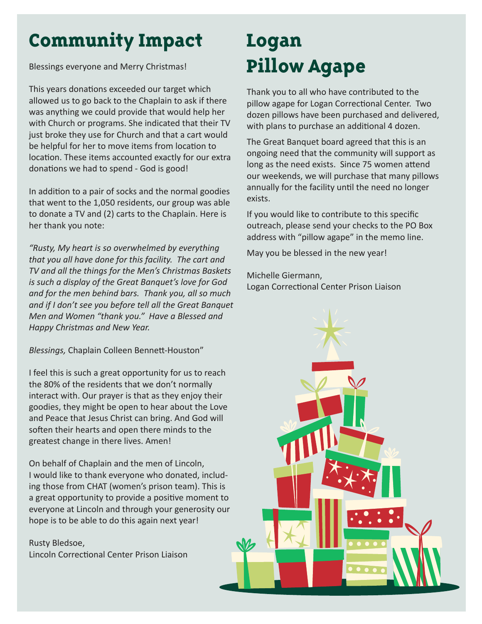## **Community Impact**

Blessings everyone and Merry Christmas!

This years donations exceeded our target which allowed us to go back to the Chaplain to ask if there was anything we could provide that would help her with Church or programs. She indicated that their TV just broke they use for Church and that a cart would be helpful for her to move items from location to location. These items accounted exactly for our extra donations we had to spend - God is good!

In addition to a pair of socks and the normal goodies that went to the 1,050 residents, our group was able to donate a TV and (2) carts to the Chaplain. Here is her thank you note:

*"Rusty, My heart is so overwhelmed by everything that you all have done for this facility. The cart and TV and all the things for the Men's Christmas Baskets is such a display of the Great Banquet's love for God and for the men behind bars. Thank you, all so much and if I don't see you before tell all the Great Banquet Men and Women "thank you." Have a Blessed and Happy Christmas and New Year.*

*Blessings,* Chaplain Colleen Bennett-Houston"

I feel this is such a great opportunity for us to reach the 80% of the residents that we don't normally interact with. Our prayer is that as they enjoy their goodies, they might be open to hear about the Love and Peace that Jesus Christ can bring. And God will soften their hearts and open there minds to the greatest change in there lives. Amen!

On behalf of Chaplain and the men of Lincoln, I would like to thank everyone who donated, including those from CHAT (women's prison team). This is a great opportunity to provide a positive moment to everyone at Lincoln and through your generosity our hope is to be able to do this again next year!

Rusty Bledsoe, Lincoln Correctional Center Prison Liaison

## **Logan Pillow Agape**

Thank you to all who have contributed to the pillow agape for Logan Correctional Center. Two dozen pillows have been purchased and delivered, with plans to purchase an additional 4 dozen.

The Great Banquet board agreed that this is an ongoing need that the community will support as long as the need exists. Since 75 women attend our weekends, we will purchase that many pillows annually for the facility until the need no longer exists.

If you would like to contribute to this specific outreach, please send your checks to the PO Box address with "pillow agape" in the memo line.

May you be blessed in the new year!

Michelle Giermann, Logan Correctional Center Prison Liaison

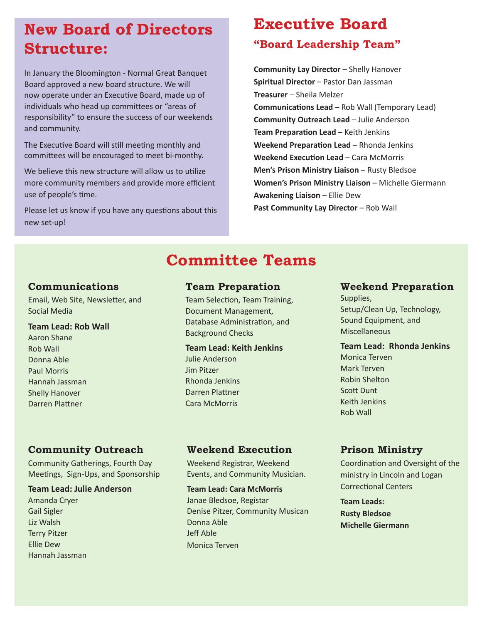## **New Board of Directors Structure:**

In January the Bloomington - Normal Great Banquet Board approved a new board structure. We will now operate under an Executive Board, made up of individuals who head up committees or "areas of responsibility" to ensure the success of our weekends and community.

The Executive Board will still meeting monthly and committees will be encouraged to meet bi-monthy.

We believe this new structure will allow us to utilize more community members and provide more efficient use of people's time.

Please let us know if you have any questions about this new set-up!

## **Executive Board**

### **"Board Leadership Team"**

**Community Lay Director - Shelly Hanover Spiritual Director** – Pastor Dan Jassman **Treasurer** – Sheila Melzer **Communications Lead** – Rob Wall (Temporary Lead) **Community Outreach Lead** – Julie Anderson **Team Preparation Lead** – Keith Jenkins **Weekend Preparation Lead - Rhonda Jenkins Weekend Execution Lead** – Cara McMorris **Men's Prison Ministry Liaison** – Rusty Bledsoe **Women's Prison Ministry Liaison** – Michelle Giermann **Awakening Liaison** – Ellie Dew **Past Community Lay Director** – Rob Wall

## **Committee Teams**

#### **Communications**

Email, Web Site, Newsletter, and Social Media

#### **Team Lead: Rob Wall**

Aaron Shane Rob Wall Donna Able Paul Morris Hannah Jassman Shelly Hanover Darren Plattner

#### **Team Preparation**

Team Selection, Team Training, Document Management, Database Administration, and Background Checks

#### **Team Lead: Keith Jenkins**

Julie Anderson Jim Pitzer Rhonda Jenkins Darren Plattner Cara McMorris

#### **Weekend Preparation**

Supplies, Setup/Clean Up, Technology, Sound Equipment, and Miscellaneous

#### **Team Lead: Rhonda Jenkins**

Monica Terven Mark Terven Robin Shelton Scott Dunt Keith Jenkins Rob Wall

#### **Community Outreach**

Community Gatherings, Fourth Day Meetings, Sign-Ups, and Sponsorship

#### **Team Lead: Julie Anderson**

Amanda Cryer Gail Sigler Liz Walsh Terry Pitzer Ellie Dew Hannah Jassman

#### **Weekend Execution**

Weekend Registrar, Weekend Events, and Community Musician.

**Team Lead: Cara McMorris** Janae Bledsoe, Registar Denise Pitzer, Community Musican Donna Able Jeff Able Monica Terven

#### **Prison Ministry**

Coordination and Oversight of the ministry in Lincoln and Logan Correctional Centers

**Team Leads: Rusty Bledsoe Michelle Giermann**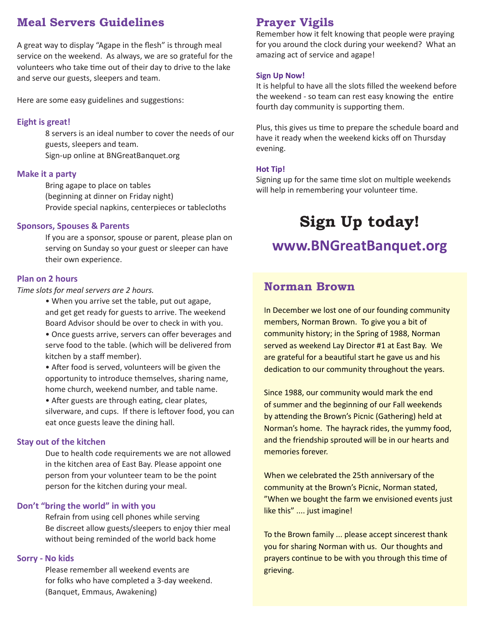### **Meal Servers Guidelines**

A great way to display "Agape in the flesh" is through meal service on the weekend. As always, we are so grateful for the volunteers who take time out of their day to drive to the lake and serve our guests, sleepers and team.

Here are some easy guidelines and suggestions:

#### **Eight is great!**

8 servers is an ideal number to cover the needs of our guests, sleepers and team. Sign-up online at BNGreatBanquet.org

#### **Make it a party**

Bring agape to place on tables (beginning at dinner on Friday night) Provide special napkins, centerpieces or tablecloths

#### **Sponsors, Spouses & Parents**

If you are a sponsor, spouse or parent, please plan on serving on Sunday so your guest or sleeper can have their own experience.

#### **Plan on 2 hours**

*Time slots for meal servers are 2 hours.* 

• When you arrive set the table, put out agape, and get get ready for guests to arrive. The weekend Board Advisor should be over to check in with you.

• Once guests arrive, servers can offer beverages and serve food to the table. (which will be delivered from kitchen by a staff member).

• After food is served, volunteers will be given the opportunity to introduce themselves, sharing name, home church, weekend number, and table name.

• After guests are through eating, clear plates, silverware, and cups. If there is leftover food, you can eat once guests leave the dining hall.

#### **Stay out of the kitchen**

Due to health code requirements we are not allowed in the kitchen area of East Bay. Please appoint one person from your volunteer team to be the point person for the kitchen during your meal.

#### **Don't "bring the world" in with you**

Refrain from using cell phones while serving Be discreet allow guests/sleepers to enjoy thier meal without being reminded of the world back home

#### **Sorry - No kids**

Please remember all weekend events are for folks who have completed a 3-day weekend. (Banquet, Emmaus, Awakening)

#### **Prayer Vigils**

Remember how it felt knowing that people were praying for you around the clock during your weekend? What an amazing act of service and agape!

#### **Sign Up Now!**

It is helpful to have all the slots filled the weekend before the weekend - so team can rest easy knowing the entire fourth day community is supporting them.

Plus, this gives us time to prepare the schedule board and have it ready when the weekend kicks off on Thursday evening.

#### **Hot Tip!**

Signing up for the same time slot on multiple weekends will help in remembering your volunteer time.

## **Sign Up today!**

### **www.BNGreatBanquet.org**

#### **Norman Brown**

In December we lost one of our founding community members, Norman Brown. To give you a bit of community history; in the Spring of 1988, Norman served as weekend Lay Director #1 at East Bay. We are grateful for a beautiful start he gave us and his dedication to our community throughout the years.

Since 1988, our community would mark the end of summer and the beginning of our Fall weekends by attending the Brown's Picnic (Gathering) held at Norman's home. The hayrack rides, the yummy food, and the friendship sprouted will be in our hearts and memories forever.

When we celebrated the 25th anniversary of the community at the Brown's Picnic, Norman stated, "When we bought the farm we envisioned events just like this" .... just imagine!

To the Brown family ... please accept sincerest thank you for sharing Norman with us. Our thoughts and prayers continue to be with you through this time of grieving.